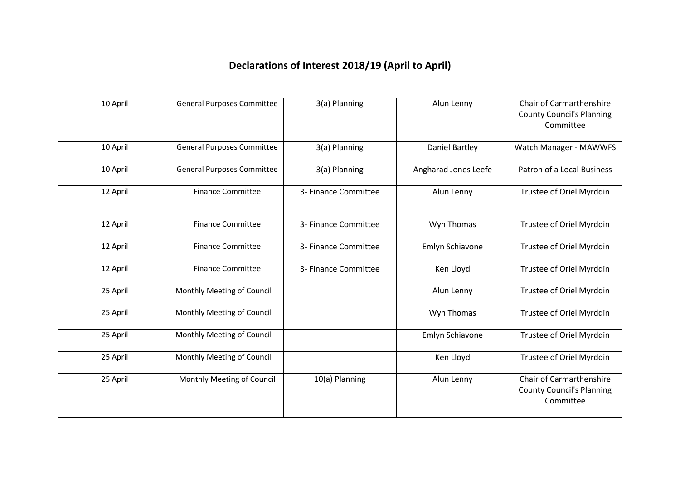## **Declarations of Interest 2018/19 (April to April)**

| 10 April | <b>General Purposes Committee</b> | 3(a) Planning        | Alun Lenny            | Chair of Carmarthenshire<br><b>County Council's Planning</b><br>Committee        |
|----------|-----------------------------------|----------------------|-----------------------|----------------------------------------------------------------------------------|
| 10 April | <b>General Purposes Committee</b> | 3(a) Planning        | <b>Daniel Bartley</b> | Watch Manager - MAWWFS                                                           |
| 10 April | <b>General Purposes Committee</b> | 3(a) Planning        | Angharad Jones Leefe  | Patron of a Local Business                                                       |
| 12 April | <b>Finance Committee</b>          | 3- Finance Committee | Alun Lenny            | Trustee of Oriel Myrddin                                                         |
| 12 April | <b>Finance Committee</b>          | 3- Finance Committee | Wyn Thomas            | Trustee of Oriel Myrddin                                                         |
| 12 April | <b>Finance Committee</b>          | 3- Finance Committee | Emlyn Schiavone       | Trustee of Oriel Myrddin                                                         |
| 12 April | <b>Finance Committee</b>          | 3- Finance Committee | Ken Lloyd             | Trustee of Oriel Myrddin                                                         |
| 25 April | Monthly Meeting of Council        |                      | Alun Lenny            | Trustee of Oriel Myrddin                                                         |
| 25 April | Monthly Meeting of Council        |                      | Wyn Thomas            | Trustee of Oriel Myrddin                                                         |
| 25 April | Monthly Meeting of Council        |                      | Emlyn Schiavone       | Trustee of Oriel Myrddin                                                         |
| 25 April | Monthly Meeting of Council        |                      | Ken Lloyd             | Trustee of Oriel Myrddin                                                         |
| 25 April | Monthly Meeting of Council        | 10(a) Planning       | Alun Lenny            | <b>Chair of Carmarthenshire</b><br><b>County Council's Planning</b><br>Committee |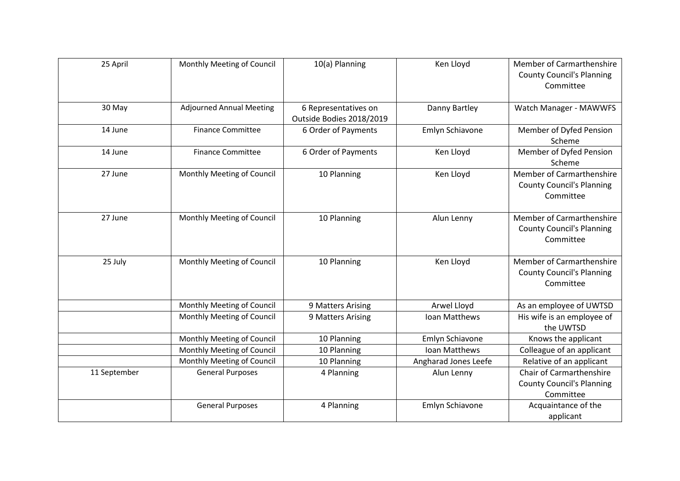| 25 April     | Monthly Meeting of Council      | 10(a) Planning                                   | Ken Lloyd            | <b>Member of Carmarthenshire</b><br><b>County Council's Planning</b><br>Committee |
|--------------|---------------------------------|--------------------------------------------------|----------------------|-----------------------------------------------------------------------------------|
| 30 May       | <b>Adjourned Annual Meeting</b> | 6 Representatives on<br>Outside Bodies 2018/2019 | Danny Bartley        | Watch Manager - MAWWFS                                                            |
| 14 June      | <b>Finance Committee</b>        | 6 Order of Payments                              | Emlyn Schiavone      | Member of Dyfed Pension<br>Scheme                                                 |
| 14 June      | <b>Finance Committee</b>        | 6 Order of Payments                              | Ken Lloyd            | Member of Dyfed Pension<br>Scheme                                                 |
| 27 June      | Monthly Meeting of Council      | 10 Planning                                      | Ken Lloyd            | Member of Carmarthenshire<br><b>County Council's Planning</b><br>Committee        |
| 27 June      | Monthly Meeting of Council      | 10 Planning                                      | Alun Lenny           | Member of Carmarthenshire<br><b>County Council's Planning</b><br>Committee        |
| 25 July      | Monthly Meeting of Council      | 10 Planning                                      | Ken Lloyd            | <b>Member of Carmarthenshire</b><br><b>County Council's Planning</b><br>Committee |
|              | Monthly Meeting of Council      | 9 Matters Arising                                | Arwel Lloyd          | As an employee of UWTSD                                                           |
|              | Monthly Meeting of Council      | 9 Matters Arising                                | Ioan Matthews        | His wife is an employee of<br>the UWTSD                                           |
|              | Monthly Meeting of Council      | 10 Planning                                      | Emlyn Schiavone      | Knows the applicant                                                               |
|              | Monthly Meeting of Council      | 10 Planning                                      | Ioan Matthews        | Colleague of an applicant                                                         |
|              | Monthly Meeting of Council      | 10 Planning                                      | Angharad Jones Leefe | Relative of an applicant                                                          |
| 11 September | <b>General Purposes</b>         | 4 Planning                                       | Alun Lenny           | Chair of Carmarthenshire<br><b>County Council's Planning</b><br>Committee         |
|              | <b>General Purposes</b>         | 4 Planning                                       | Emlyn Schiavone      | Acquaintance of the<br>applicant                                                  |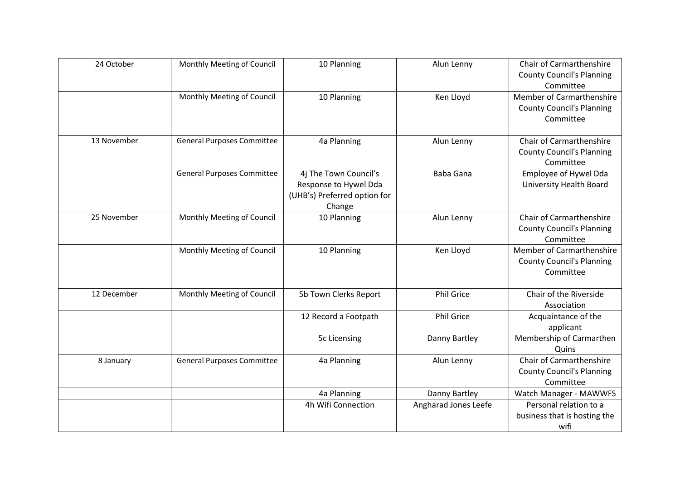| 24 October  | Monthly Meeting of Council        | 10 Planning                                                                              | Alun Lenny           | <b>Chair of Carmarthenshire</b><br><b>County Council's Planning</b><br>Committee |
|-------------|-----------------------------------|------------------------------------------------------------------------------------------|----------------------|----------------------------------------------------------------------------------|
|             | Monthly Meeting of Council        | 10 Planning                                                                              | Ken Lloyd            | Member of Carmarthenshire<br><b>County Council's Planning</b><br>Committee       |
| 13 November | <b>General Purposes Committee</b> | 4a Planning                                                                              | Alun Lenny           | <b>Chair of Carmarthenshire</b><br><b>County Council's Planning</b><br>Committee |
|             | <b>General Purposes Committee</b> | 4j The Town Council's<br>Response to Hywel Dda<br>(UHB's) Preferred option for<br>Change | <b>Baba Gana</b>     | Employee of Hywel Dda<br><b>University Health Board</b>                          |
| 25 November | Monthly Meeting of Council        | 10 Planning                                                                              | Alun Lenny           | <b>Chair of Carmarthenshire</b><br><b>County Council's Planning</b><br>Committee |
|             | Monthly Meeting of Council        | 10 Planning                                                                              | Ken Lloyd            | Member of Carmarthenshire<br><b>County Council's Planning</b><br>Committee       |
| 12 December | Monthly Meeting of Council        | 5b Town Clerks Report                                                                    | <b>Phil Grice</b>    | Chair of the Riverside<br>Association                                            |
|             |                                   | 12 Record a Footpath                                                                     | <b>Phil Grice</b>    | Acquaintance of the<br>applicant                                                 |
|             |                                   | 5c Licensing                                                                             | Danny Bartley        | Membership of Carmarthen<br>Quins                                                |
| 8 January   | <b>General Purposes Committee</b> | 4a Planning                                                                              | Alun Lenny           | Chair of Carmarthenshire<br><b>County Council's Planning</b><br>Committee        |
|             |                                   | 4a Planning                                                                              | Danny Bartley        | Watch Manager - MAWWFS                                                           |
|             |                                   | 4h Wifi Connection                                                                       | Angharad Jones Leefe | Personal relation to a<br>business that is hosting the<br>wifi                   |